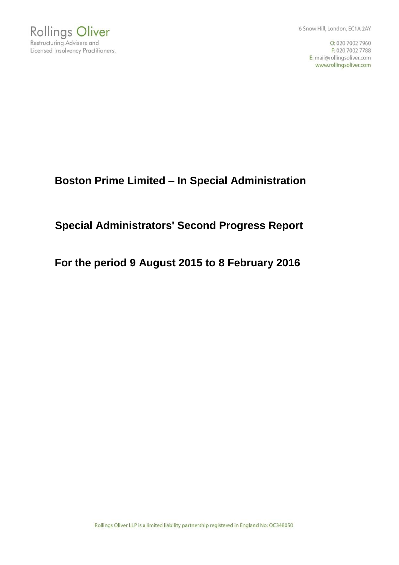

6 Snow Hill, London, EC1A 2AY

O: 020 7002 7960 F: 020 7002 7788 E: mail@rollingsoliver.com www.rollingsoliver.com

# **Boston Prime Limited – In Special Administration**

# **Special Administrators' Second Progress Report**

**For the period 9 August 2015 to 8 February 2016**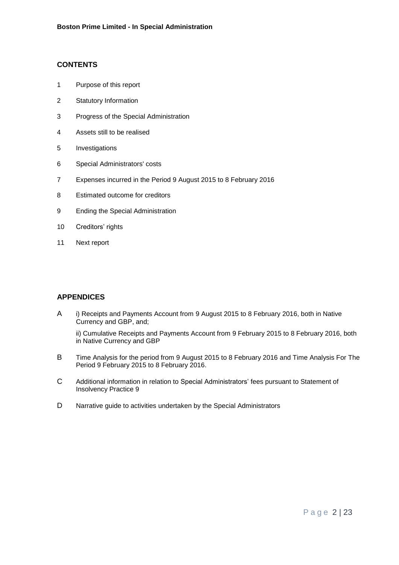# **CONTENTS**

- 1 Purpose of this report
- 2 Statutory Information
- 3 Progress of the Special Administration
- 4 Assets still to be realised
- 5 Investigations
- 6 Special Administrators' costs
- 7 Expenses incurred in the Period 9 August 2015 to 8 February 2016
- 8 Estimated outcome for creditors
- 9 Ending the Special Administration
- 10 Creditors' rights
- 11 Next report

# **APPENDICES**

A i) Receipts and Payments Account from 9 August 2015 to 8 February 2016, both in Native Currency and GBP, and;

ii) Cumulative Receipts and Payments Account from 9 February 2015 to 8 February 2016, both in Native Currency and GBP

- B Time Analysis for the period from 9 August 2015 to 8 February 2016 and Time Analysis For The Period 9 February 2015 to 8 February 2016.
- C Additional information in relation to Special Administrators' fees pursuant to Statement of Insolvency Practice 9
- D Narrative guide to activities undertaken by the Special Administrators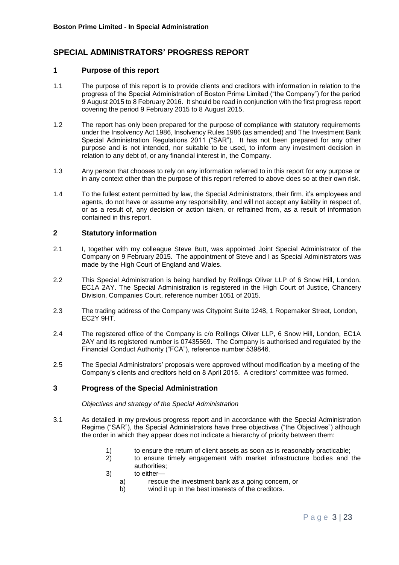# **SPECIAL ADMINISTRATORS' PROGRESS REPORT**

## **1 Purpose of this report**

- 1.1 The purpose of this report is to provide clients and creditors with information in relation to the progress of the Special Administration of Boston Prime Limited ("the Company") for the period 9 August 2015 to 8 February 2016. It should be read in conjunction with the first progress report covering the period 9 February 2015 to 8 August 2015.
- 1.2 The report has only been prepared for the purpose of compliance with statutory requirements under the Insolvency Act 1986, Insolvency Rules 1986 (as amended) and The Investment Bank Special Administration Regulations 2011 ("SAR"). It has not been prepared for any other purpose and is not intended, nor suitable to be used, to inform any investment decision in relation to any debt of, or any financial interest in, the Company.
- 1.3 Any person that chooses to rely on any information referred to in this report for any purpose or in any context other than the purpose of this report referred to above does so at their own risk.
- 1.4 To the fullest extent permitted by law, the Special Administrators, their firm, it's employees and agents, do not have or assume any responsibility, and will not accept any liability in respect of, or as a result of, any decision or action taken, or refrained from, as a result of information contained in this report.

# **2 Statutory information**

- 2.1 I, together with my colleague Steve Butt, was appointed Joint Special Administrator of the Company on 9 February 2015.The appointment of Steve and I as Special Administrators was made by the High Court of England and Wales.
- 2.2 This Special Administration is being handled by Rollings Oliver LLP of 6 Snow Hill, London, EC1A 2AY. The Special Administration is registered in the High Court of Justice, Chancery Division, Companies Court, reference number 1051 of 2015.
- 2.3 The trading address of the Company was Citypoint Suite 1248, 1 Ropemaker Street, London, EC2Y 9HT.
- 2.4 The registered office of the Company is c/o Rollings Oliver LLP, 6 Snow Hill, London, EC1A 2AY and its registered number is 07435569. The Company is authorised and regulated by the Financial Conduct Authority ("FCA"), reference number 539846.
- 2.5 The Special Administrators' proposals were approved without modification by a meeting of the Company's clients and creditors held on 8 April 2015. A creditors' committee was formed.

# **3 Progress of the Special Administration**

*Objectives and strategy of the Special Administration*

- 3.1 As detailed in my previous progress report and in accordance with the Special Administration Regime ("SAR"), the Special Administrators have three objectives ("the Objectives") although the order in which they appear does not indicate a hierarchy of priority between them:
	- 1) to ensure the return of client assets as soon as is reasonably practicable;
	- 2) to ensure timely engagement with market infrastructure bodies and the authorities;
	- 3) to either
		- a) rescue the investment bank as a going concern, or
		- b) wind it up in the best interests of the creditors.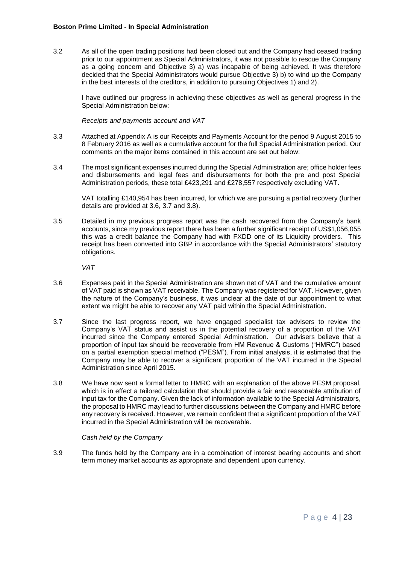3.2 As all of the open trading positions had been closed out and the Company had ceased trading prior to our appointment as Special Administrators, it was not possible to rescue the Company as a going concern and Objective 3) a) was incapable of being achieved. It was therefore decided that the Special Administrators would pursue Objective 3) b) to wind up the Company in the best interests of the creditors, in addition to pursuing Objectives 1) and 2).

I have outlined our progress in achieving these objectives as well as general progress in the Special Administration below:

*Receipts and payments account and VAT*

- 3.3 Attached at Appendix A is our Receipts and Payments Account for the period 9 August 2015 to 8 February 2016 as well as a cumulative account for the full Special Administration period. Our comments on the major items contained in this account are set out below:
- 3.4 The most significant expenses incurred during the Special Administration are; office holder fees and disbursements and legal fees and disbursements for both the pre and post Special Administration periods, these total £423,291 and £278,557 respectively excluding VAT.

VAT totalling £140,954 has been incurred, for which we are pursuing a partial recovery (further details are provided at 3.6, 3.7 and 3.8).

3.5 Detailed in my previous progress report was the cash recovered from the Company's bank accounts, since my previous report there has been a further significant receipt of US\$1,056,055 this was a credit balance the Company had with FXDD one of its Liquidity providers. This receipt has been converted into GBP in accordance with the Special Administrators' statutory obligations.

*VAT* 

- 3.6 Expenses paid in the Special Administration are shown net of VAT and the cumulative amount of VAT paid is shown as VAT receivable. The Company was registered for VAT. However, given the nature of the Company's business, it was unclear at the date of our appointment to what extent we might be able to recover any VAT paid within the Special Administration.
- 3.7 Since the last progress report, we have engaged specialist tax advisers to review the Company's VAT status and assist us in the potential recovery of a proportion of the VAT incurred since the Company entered Special Administration. Our advisers believe that a proportion of input tax should be recoverable from HM Revenue & Customs ("HMRC") based on a partial exemption special method ("PESM"). From initial analysis, it is estimated that the Company may be able to recover a significant proportion of the VAT incurred in the Special Administration since April 2015.
- 3.8 We have now sent a formal letter to HMRC with an explanation of the above PESM proposal, which is in effect a tailored calculation that should provide a fair and reasonable attribution of input tax for the Company. Given the lack of information available to the Special Administrators, the proposal to HMRC may lead to further discussions between the Company and HMRC before any recovery is received. However, we remain confident that a significant proportion of the VAT incurred in the Special Administration will be recoverable.

*Cash held by the Company*

3.9 The funds held by the Company are in a combination of interest bearing accounts and short term money market accounts as appropriate and dependent upon currency.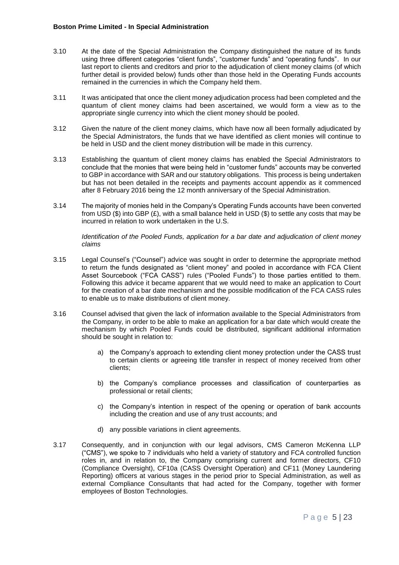- 3.10 At the date of the Special Administration the Company distinguished the nature of its funds using three different categories "client funds", "customer funds" and "operating funds". In our last report to clients and creditors and prior to the adjudication of client money claims (of which further detail is provided below) funds other than those held in the Operating Funds accounts remained in the currencies in which the Company held them.
- 3.11 It was anticipated that once the client money adjudication process had been completed and the quantum of client money claims had been ascertained, we would form a view as to the appropriate single currency into which the client money should be pooled.
- 3.12 Given the nature of the client money claims, which have now all been formally adjudicated by the Special Administrators, the funds that we have identified as client monies will continue to be held in USD and the client money distribution will be made in this currency.
- 3.13 Establishing the quantum of client money claims has enabled the Special Administrators to conclude that the monies that were being held in "customer funds" accounts may be converted to GBP in accordance with SAR and our statutory obligations. This process is being undertaken but has not been detailed in the receipts and payments account appendix as it commenced after 8 February 2016 being the 12 month anniversary of the Special Administration.
- 3.14 The majority of monies held in the Company's Operating Funds accounts have been converted from USD  $(\$)$  into GBP  $(E)$ , with a small balance held in USD  $(\$)$  to settle any costs that may be incurred in relation to work undertaken in the U.S.

*Identification of the Pooled Funds, application for a bar date and adjudication of client money claims*

- 3.15 Legal Counsel's ("Counsel") advice was sought in order to determine the appropriate method to return the funds designated as "client money" and pooled in accordance with FCA Client Asset Sourcebook ("FCA CASS") rules ("Pooled Funds") to those parties entitled to them. Following this advice it became apparent that we would need to make an application to Court for the creation of a bar date mechanism and the possible modification of the FCA CASS rules to enable us to make distributions of client money.
- 3.16 Counsel advised that given the lack of information available to the Special Administrators from the Company, in order to be able to make an application for a bar date which would create the mechanism by which Pooled Funds could be distributed, significant additional information should be sought in relation to:
	- a) the Company's approach to extending client money protection under the CASS trust to certain clients or agreeing title transfer in respect of money received from other clients;
	- b) the Company's compliance processes and classification of counterparties as professional or retail clients;
	- c) the Company's intention in respect of the opening or operation of bank accounts including the creation and use of any trust accounts; and
	- d) any possible variations in client agreements.
- 3.17 Consequently, and in conjunction with our legal advisors, CMS Cameron McKenna LLP ("CMS"), we spoke to 7 individuals who held a variety of statutory and FCA controlled function roles in, and in relation to, the Company comprising current and former directors, CF10 (Compliance Oversight), CF10a (CASS Oversight Operation) and CF11 (Money Laundering Reporting) officers at various stages in the period prior to Special Administration, as well as external Compliance Consultants that had acted for the Company, together with former employees of Boston Technologies.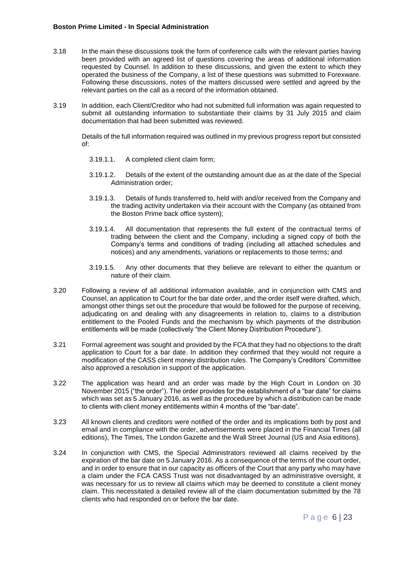- 3.18 In the main these discussions took the form of conference calls with the relevant parties having been provided with an agreed list of questions covering the areas of additional information requested by Counsel. In addition to these discussions, and given the extent to which they operated the business of the Company, a list of these questions was submitted to Forexware. Following these discussions, notes of the matters discussed were settled and agreed by the relevant parties on the call as a record of the information obtained.
- 3.19 In addition, each Client/Creditor who had not submitted full information was again requested to submit all outstanding information to substantiate their claims by 31 July 2015 and claim documentation that had been submitted was reviewed.

Details of the full information required was outlined in my previous progress report but consisted of:

- 3.19.1.1. A completed client claim form;
- 3.19.1.2. Details of the extent of the outstanding amount due as at the date of the Special Administration order;
- 3.19.1.3. Details of funds transferred to, held with and/or received from the Company and the trading activity undertaken via their account with the Company (as obtained from the Boston Prime back office system);
- 3.19.1.4. All documentation that represents the full extent of the contractual terms of trading between the client and the Company, including a signed copy of both the Company's terms and conditions of trading (including all attached schedules and notices) and any amendments, variations or replacements to those terms; and
- 3.19.1.5. Any other documents that they believe are relevant to either the quantum or nature of their claim.
- 3.20 Following a review of all additional information available, and in conjunction with CMS and Counsel, an application to Court for the bar date order, and the order itself were drafted, which, amongst other things set out the procedure that would be followed for the purpose of receiving, adjudicating on and dealing with any disagreements in relation to, claims to a distribution entitlement to the Pooled Funds and the mechanism by which payments of the distribution entitlements will be made (collectively "the Client Money Distribution Procedure").
- 3.21 Formal agreement was sought and provided by the FCA that they had no objections to the draft application to Court for a bar date. In addition they confirmed that they would not require a modification of the CASS client money distribution rules. The Company's Creditors' Committee also approved a resolution in support of the application.
- 3.22 The application was heard and an order was made by the High Court in London on 30 November 2015 ("the order"). The order provides for the establishment of a "bar date" for claims which was set as 5 January 2016, as well as the procedure by which a distribution can be made to clients with client money entitlements within 4 months of the "bar-date".
- 3.23 All known clients and creditors were notified of the order and its implications both by post and email and in compliance with the order, advertisements were placed in the Financial Times (all editions), The Times, The London Gazette and the Wall Street Journal (US and Asia editions).
- 3.24 In conjunction with CMS, the Special Administrators reviewed all claims received by the expiration of the bar date on 5 January 2016. As a consequence of the terms of the court order, and in order to ensure that in our capacity as officers of the Court that any party who may have a claim under the FCA CASS Trust was not disadvantaged by an administrative oversight, it was necessary for us to review all claims which may be deemed to constitute a client money claim. This necessitated a detailed review all of the claim documentation submitted by the 78 clients who had responded on or before the bar date.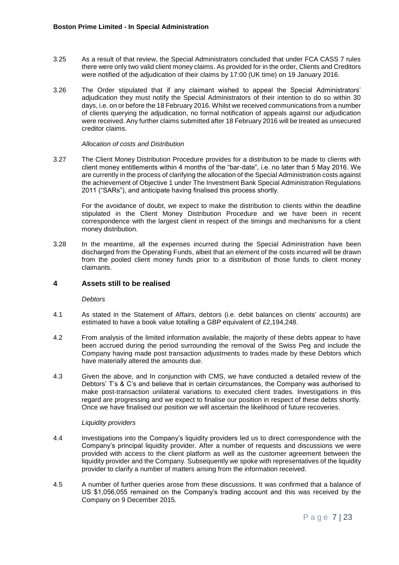- 3.25 As a result of that review, the Special Administrators concluded that under FCA CASS 7 rules there were only two valid client money claims. As provided for in the order, Clients and Creditors were notified of the adjudication of their claims by 17:00 (UK time) on 19 January 2016.
- 3.26 The Order stipulated that if any claimant wished to appeal the Special Administrators' adjudication they must notify the Special Administrators of their intention to do so within 30 days, i.e. on or before the 18 February 2016. Whilst we received communications from a number of clients querying the adjudication, no formal notification of appeals against our adjudication were received. Any further claims submitted after 18 February 2016 will be treated as unsecured creditor claims.

#### *Allocation of costs and Distribution*

3.27 The Client Money Distribution Procedure provides for a distribution to be made to clients with client money entitlements within 4 months of the "bar-date", i.e. no later than 5 May 2016. We are currently in the process of clarifying the allocation of the Special Administration costs against the achievement of Objective 1 under The Investment Bank Special Administration Regulations 2011 ("SARs"), and anticipate having finalised this process shortly.

For the avoidance of doubt, we expect to make the distribution to clients within the deadline stipulated in the Client Money Distribution Procedure and we have been in recent correspondence with the largest client in respect of the timings and mechanisms for a client money distribution.

3.28 In the meantime, all the expenses incurred during the Special Administration have been discharged from the Operating Funds, albeit that an element of the costs incurred will be drawn from the pooled client money funds prior to a distribution of those funds to client money claimants.

# **4 Assets still to be realised**

#### *Debtors*

- 4.1 As stated in the Statement of Affairs, debtors (i.e. debit balances on clients' accounts) are estimated to have a book value totalling a GBP equivalent of £2,194,248.
- 4.2 From analysis of the limited information available, the majority of these debts appear to have been accrued during the period surrounding the removal of the Swiss Peg and include the Company having made post transaction adjustments to trades made by these Debtors which have materially altered the amounts due.
- 4.3 Given the above, and In conjunction with CMS, we have conducted a detailed review of the Debtors' T's & C's and believe that in certain circumstances, the Company was authorised to make post-transaction unilateral variations to executed client trades. Investigations in this regard are progressing and we expect to finalise our position in respect of these debts shortly. Once we have finalised our position we will ascertain the likelihood of future recoveries.

#### *Liquidity providers*

- 4.4 Investigations into the Company's liquidity providers led us to direct correspondence with the Company's principal liquidity provider. After a number of requests and discussions we were provided with access to the client platform as well as the customer agreement between the liquidity provider and the Company. Subsequently we spoke with representatives of the liquidity provider to clarify a number of matters arising from the information received.
- 4.5 A number of further queries arose from these discussions. It was confirmed that a balance of US \$1,056,055 remained on the Company's trading account and this was received by the Company on 9 December 2015.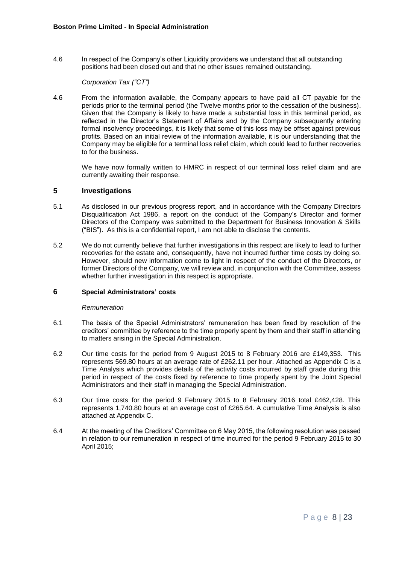4.6 In respect of the Company's other Liquidity providers we understand that all outstanding positions had been closed out and that no other issues remained outstanding.

#### *Corporation Tax ("CT")*

4.6 From the information available, the Company appears to have paid all CT payable for the periods prior to the terminal period (the Twelve months prior to the cessation of the business). Given that the Company is likely to have made a substantial loss in this terminal period, as reflected in the Director's Statement of Affairs and by the Company subsequently entering formal insolvency proceedings, it is likely that some of this loss may be offset against previous profits. Based on an initial review of the information available, it is our understanding that the Company may be eligible for a terminal loss relief claim, which could lead to further recoveries to for the business.

We have now formally written to HMRC in respect of our terminal loss relief claim and are currently awaiting their response.

#### **5 Investigations**

- 5.1 As disclosed in our previous progress report, and in accordance with the Company Directors Disqualification Act 1986, a report on the conduct of the Company's Director and former Directors of the Company was submitted to the Department for Business Innovation & Skills ("BIS"). As this is a confidential report, I am not able to disclose the contents.
- 5.2 We do not currently believe that further investigations in this respect are likely to lead to further recoveries for the estate and, consequently, have not incurred further time costs by doing so. However, should new information come to light in respect of the conduct of the Directors, or former Directors of the Company, we will review and, in conjunction with the Committee, assess whether further investigation in this respect is appropriate.

#### **6 Special Administrators' costs**

#### *Remuneration*

- 6.1 The basis of the Special Administrators' remuneration has been fixed by resolution of the creditors' committee by reference to the time properly spent by them and their staff in attending to matters arising in the Special Administration.
- 6.2 Our time costs for the period from 9 August 2015 to 8 February 2016 are £149,353. This represents 569.80 hours at an average rate of £262.11 per hour. Attached as Appendix C is a Time Analysis which provides details of the activity costs incurred by staff grade during this period in respect of the costs fixed by reference to time properly spent by the Joint Special Administrators and their staff in managing the Special Administration.
- 6.3 Our time costs for the period 9 February 2015 to 8 February 2016 total £462,428. This represents 1,740.80 hours at an average cost of £265.64. A cumulative Time Analysis is also attached at Appendix C.
- 6.4 At the meeting of the Creditors' Committee on 6 May 2015, the following resolution was passed in relation to our remuneration in respect of time incurred for the period 9 February 2015 to 30 April 2015;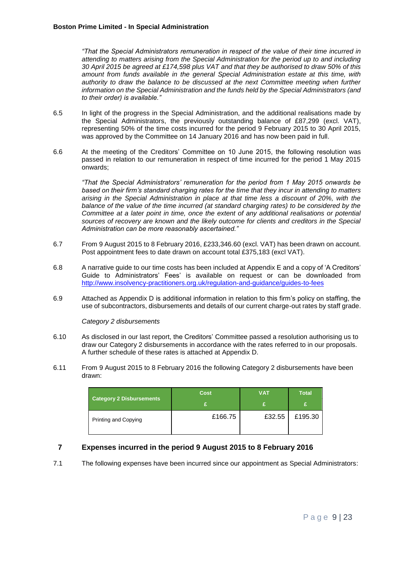*"That the Special Administrators remuneration in respect of the value of their time incurred in attending to matters arising from the Special Administration for the period up to and including 30 April 2015 be agreed at £174,598 plus VAT and that they be authorised to draw 50% of this amount from funds available in the general Special Administration estate at this time, with authority to draw the balance to be discussed at the next Committee meeting when further information on the Special Administration and the funds held by the Special Administrators (and to their order) is available."*

- 6.5 In light of the progress in the Special Administration, and the additional realisations made by the Special Administrators, the previously outstanding balance of £87,299 (excl. VAT), representing 50% of the time costs incurred for the period 9 February 2015 to 30 April 2015, was approved by the Committee on 14 January 2016 and has now been paid in full.
- 6.6 At the meeting of the Creditors' Committee on 10 June 2015, the following resolution was passed in relation to our remuneration in respect of time incurred for the period 1 May 2015 onwards;

*"That the Special Administrators' remuneration for the period from 1 May 2015 onwards be based on their firm's standard charging rates for the time that they incur in attending to matters arising in the Special Administration in place at that time less a discount of 20%, with the balance of the value of the time incurred (at standard charging rates) to be considered by the Committee at a later point in time, once the extent of any additional realisations or potential sources of recovery are known and the likely outcome for clients and creditors in the Special Administration can be more reasonably ascertained."* 

- 6.7 From 9 August 2015 to 8 February 2016, £233,346.60 (excl. VAT) has been drawn on account. Post appointment fees to date drawn on account total £375,183 (excl VAT).
- 6.8 A narrative guide to our time costs has been included at Appendix E and a copy of 'A Creditors' Guide to Administrators' Fees' is available on request or can be downloaded from <http://www.insolvency-practitioners.org.uk/regulation-and-guidance/guides-to-fees>
- 6.9 Attached as Appendix D is additional information in relation to this firm's policy on staffing, the use of subcontractors, disbursements and details of our current charge-out rates by staff grade.

*Category 2 disbursements*

- 6.10 As disclosed in our last report, the Creditors' Committee passed a resolution authorising us to draw our Category 2 disbursements in accordance with the rates referred to in our proposals. A further schedule of these rates is attached at Appendix D.
- 6.11 From 9 August 2015 to 8 February 2016 the following Category 2 disbursements have been drawn:

| <b>Category 2 Disbursements</b> | <b>Cost</b> | <b>VAT</b> | <b>Total</b> |
|---------------------------------|-------------|------------|--------------|
| Printing and Copying            | £166.75     | £32.55     | £195.30      |

# **7 Expenses incurred in the period 9 August 2015 to 8 February 2016**

7.1 The following expenses have been incurred since our appointment as Special Administrators: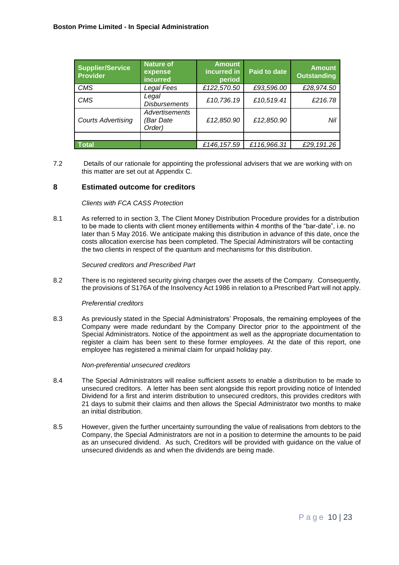| Supplier/Service<br>Provider | <b>Nature of</b><br>expense<br>incurred | <b>Amount</b><br>incurred in<br>period | <b>Paid to date</b> | <b>Amount</b><br><b>Outstanding</b> |
|------------------------------|-----------------------------------------|----------------------------------------|---------------------|-------------------------------------|
| <b>CMS</b>                   | Legal Fees                              | £122,570.50                            | £93,596.00          | £28,974.50                          |
| <b>CMS</b>                   | Legal<br><b>Disbursements</b>           | £10,736.19                             | £10,519.41          | £216.78                             |
| <b>Courts Advertising</b>    | Advertisements<br>'Bar Date<br>Order)   | £12,850.90                             | £12,850.90          | Nil                                 |
|                              |                                         |                                        |                     |                                     |
| <b>Total</b>                 |                                         | £146, 157.59                           | £116,966.31         | £29,191.26                          |

7.2 Details of our rationale for appointing the professional advisers that we are working with on this matter are set out at Appendix C.

## **8 Estimated outcome for creditors**

#### *Clients with FCA CASS Protection*

8.1 As referred to in section 3, The Client Money Distribution Procedure provides for a distribution to be made to clients with client money entitlements within 4 months of the "bar-date", i.e. no later than 5 May 2016. We anticipate making this distribution in advance of this date, once the costs allocation exercise has been completed. The Special Administrators will be contacting the two clients in respect of the quantum and mechanisms for this distribution.

*Secured creditors and Prescribed Part*

8.2 There is no registered security giving charges over the assets of the Company. Consequently, the provisions of S176A of the Insolvency Act 1986 in relation to a Prescribed Part will not apply.

#### *Preferential creditors*

8.3 As previously stated in the Special Administrators' Proposals, the remaining employees of the Company were made redundant by the Company Director prior to the appointment of the Special Administrators. Notice of the appointment as well as the appropriate documentation to register a claim has been sent to these former employees. At the date of this report, one employee has registered a minimal claim for unpaid holiday pay.

#### *Non-preferential unsecured creditors*

- 8.4 The Special Administrators will realise sufficient assets to enable a distribution to be made to unsecured creditors. A letter has been sent alongside this report providing notice of Intended Dividend for a first and interim distribution to unsecured creditors, this provides creditors with 21 days to submit their claims and then allows the Special Administrator two months to make an initial distribution.
- 8.5 However, given the further uncertainty surrounding the value of realisations from debtors to the Company, the Special Administrators are not in a position to determine the amounts to be paid as an unsecured dividend. As such, Creditors will be provided with guidance on the value of unsecured dividends as and when the dividends are being made.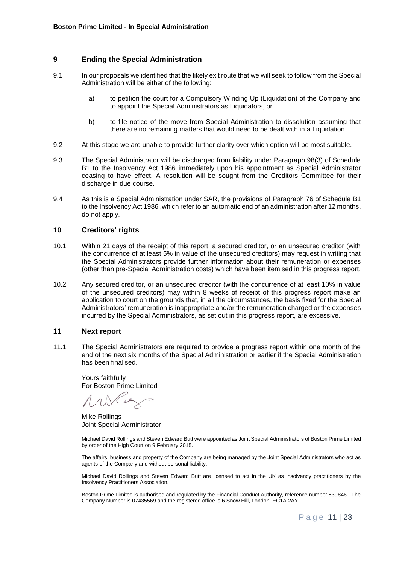# **9 Ending the Special Administration**

- 9.1 In our proposals we identified that the likely exit route that we will seek to follow from the Special Administration will be either of the following:
	- a) to petition the court for a Compulsory Winding Up (Liquidation) of the Company and to appoint the Special Administrators as Liquidators, or
	- b) to file notice of the move from Special Administration to dissolution assuming that there are no remaining matters that would need to be dealt with in a Liquidation.
- 9.2 At this stage we are unable to provide further clarity over which option will be most suitable.
- 9.3 The Special Administrator will be discharged from liability under Paragraph 98(3) of Schedule B1 to the Insolvency Act 1986 immediately upon his appointment as Special Administrator ceasing to have effect. A resolution will be sought from the Creditors Committee for their discharge in due course.
- 9.4 As this is a Special Administration under SAR, the provisions of Paragraph 76 of Schedule B1 to the Insolvency Act 1986 ,which refer to an automatic end of an administration after 12 months, do not apply.

#### **10 Creditors' rights**

- 10.1 Within 21 days of the receipt of this report, a secured creditor, or an unsecured creditor (with the concurrence of at least 5% in value of the unsecured creditors) may request in writing that the Special Administrators provide further information about their remuneration or expenses (other than pre-Special Administration costs) which have been itemised in this progress report.
- 10.2 Any secured creditor, or an unsecured creditor (with the concurrence of at least 10% in value of the unsecured creditors) may within 8 weeks of receipt of this progress report make an application to court on the grounds that, in all the circumstances, the basis fixed for the Special Administrators' remuneration is inappropriate and/or the remuneration charged or the expenses incurred by the Special Administrators, as set out in this progress report, are excessive.

# **11 Next report**

11.1 The Special Administrators are required to provide a progress report within one month of the end of the next six months of the Special Administration or earlier if the Special Administration has been finalised.

Yours faithfully For Boston Prime Limited

Mike Rollings Joint Special Administrator

Michael David Rollings and Steven Edward Butt were appointed as Joint Special Administrators of Boston Prime Limited by order of the High Court on 9 February 2015.

The affairs, business and property of the Company are being managed by the Joint Special Administrators who act as agents of the Company and without personal liability.

Michael David Rollings and Steven Edward Butt are licensed to act in the UK as insolvency practitioners by the Insolvency Practitioners Association.

Boston Prime Limited is authorised and regulated by the Financial Conduct Authority, reference number 539846. The Company Number is 07435569 and the registered office is 6 Snow Hill, London. EC1A 2AY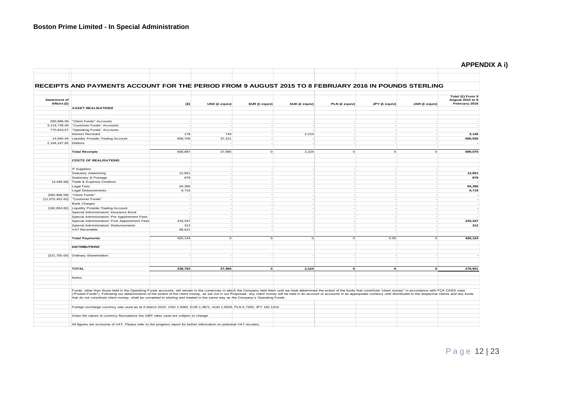| <b>APPENDIX A i)</b> |  |  |
|----------------------|--|--|
|----------------------|--|--|

|                                    | RECEIPTS AND PAYMENTS ACCOUNT FOR THE PERIOD FROM 9 AUGUST 2015 TO 8 FEBRUARY 2016 IN POUNDS STERLING                                                                                                                                                                                                                                                                                                                                                                                                                                                                                               |         |               |               |               |               |                              |               |                                                              |
|------------------------------------|-----------------------------------------------------------------------------------------------------------------------------------------------------------------------------------------------------------------------------------------------------------------------------------------------------------------------------------------------------------------------------------------------------------------------------------------------------------------------------------------------------------------------------------------------------------------------------------------------------|---------|---------------|---------------|---------------|---------------|------------------------------|---------------|--------------------------------------------------------------|
| <b>Statement of</b><br>Affairs (£) |                                                                                                                                                                                                                                                                                                                                                                                                                                                                                                                                                                                                     | (E)     | USD (£ equiv) | EUR (£ equiv) | AUD (£ equiv) | PLN (£ equiv) | JPY (£ equiv)                | ZAR (£ equiv) | Total (£) From 9<br><b>August 2015 to 8</b><br>February 2016 |
|                                    | <b>ASSET REALISATIONS</b>                                                                                                                                                                                                                                                                                                                                                                                                                                                                                                                                                                           |         |               |               |               |               |                              |               |                                                              |
|                                    | 590,896.09 "Client Funds" Accounts                                                                                                                                                                                                                                                                                                                                                                                                                                                                                                                                                                  |         |               |               |               |               |                              |               |                                                              |
|                                    | 3,119,739.09 "Customer Funds" Accounts                                                                                                                                                                                                                                                                                                                                                                                                                                                                                                                                                              |         |               |               |               |               |                              |               |                                                              |
|                                    | 770,819.67 "Operating Funds" Accounts                                                                                                                                                                                                                                                                                                                                                                                                                                                                                                                                                               |         |               |               |               |               |                              |               |                                                              |
|                                    | <b>Interest Received</b>                                                                                                                                                                                                                                                                                                                                                                                                                                                                                                                                                                            | 178     | 744           |               | 2,224         |               |                              |               | 3,145                                                        |
|                                    | 14,945.44 Liquidity Provider Trading Account                                                                                                                                                                                                                                                                                                                                                                                                                                                                                                                                                        | 658,709 | 37,221        |               |               |               |                              |               | 695,930                                                      |
| 2,194,247.65 Debtors               |                                                                                                                                                                                                                                                                                                                                                                                                                                                                                                                                                                                                     |         |               |               |               |               |                              |               |                                                              |
|                                    | <b>Total Receipts</b>                                                                                                                                                                                                                                                                                                                                                                                                                                                                                                                                                                               | 658,887 | 37.965        | $\circ$       | 2.224         |               | $\circ$<br>$\circ$           | $\circ$       | 699,075                                                      |
|                                    | <b>COSTS OF REALISATIONS</b>                                                                                                                                                                                                                                                                                                                                                                                                                                                                                                                                                                        |         |               |               |               |               |                              |               |                                                              |
|                                    |                                                                                                                                                                                                                                                                                                                                                                                                                                                                                                                                                                                                     |         |               |               |               |               |                              |               |                                                              |
|                                    | <b>IT Suppliers</b>                                                                                                                                                                                                                                                                                                                                                                                                                                                                                                                                                                                 |         |               |               |               |               |                              |               |                                                              |
|                                    | <b>Statutory Advertising</b>                                                                                                                                                                                                                                                                                                                                                                                                                                                                                                                                                                        | 12,851  |               |               |               |               |                              |               | 12,851                                                       |
|                                    | Stationery & Postage                                                                                                                                                                                                                                                                                                                                                                                                                                                                                                                                                                                | 878     |               |               |               |               |                              |               | 878                                                          |
|                                    | (4,448.68) Trade & Expense Creditors                                                                                                                                                                                                                                                                                                                                                                                                                                                                                                                                                                |         |               |               |               |               |                              |               |                                                              |
|                                    | Legal Fees                                                                                                                                                                                                                                                                                                                                                                                                                                                                                                                                                                                          | 94,396  |               |               |               |               |                              |               | 94,396                                                       |
|                                    | <b>Legal Disbursements</b>                                                                                                                                                                                                                                                                                                                                                                                                                                                                                                                                                                          | 9,719   |               |               |               |               |                              |               | 9,719                                                        |
| (560, 896.09)                      | "Client Funds"                                                                                                                                                                                                                                                                                                                                                                                                                                                                                                                                                                                      |         |               |               |               |               |                              |               |                                                              |
|                                    | (11,070,451.62) "Customer Funds"                                                                                                                                                                                                                                                                                                                                                                                                                                                                                                                                                                    |         |               |               |               |               |                              |               |                                                              |
|                                    | <b>Bank Charges</b>                                                                                                                                                                                                                                                                                                                                                                                                                                                                                                                                                                                 |         |               |               |               |               |                              |               |                                                              |
| (182, 854.82)                      | Liquidity Provider Trading Account                                                                                                                                                                                                                                                                                                                                                                                                                                                                                                                                                                  |         |               |               |               |               |                              |               |                                                              |
|                                    | Special Administrators' Insurance Bond                                                                                                                                                                                                                                                                                                                                                                                                                                                                                                                                                              |         |               |               |               |               |                              |               |                                                              |
|                                    | Special Administrators' Pre Appointment Fees                                                                                                                                                                                                                                                                                                                                                                                                                                                                                                                                                        |         |               |               |               |               |                              |               |                                                              |
|                                    | Special Administrators' Post Appointment Fees                                                                                                                                                                                                                                                                                                                                                                                                                                                                                                                                                       | 233,347 |               |               |               |               |                              |               | 233,347                                                      |
|                                    | Special Administrators' Disbursements                                                                                                                                                                                                                                                                                                                                                                                                                                                                                                                                                               | 312     |               |               |               |               |                              |               | 312                                                          |
|                                    | VAT Receivable                                                                                                                                                                                                                                                                                                                                                                                                                                                                                                                                                                                      | 68,621  |               |               |               |               |                              |               |                                                              |
|                                    | <b>Total Payments</b>                                                                                                                                                                                                                                                                                                                                                                                                                                                                                                                                                                               | 420,124 | $\circ$       | $\circ$       | $\Omega$      |               | 0.00<br>0                    | $\circ$       | 420.124                                                      |
|                                    | <b>DISTRIBUTIONS</b>                                                                                                                                                                                                                                                                                                                                                                                                                                                                                                                                                                                |         |               |               |               |               |                              |               |                                                              |
|                                    | (221,750.00) Ordinary Shareholders                                                                                                                                                                                                                                                                                                                                                                                                                                                                                                                                                                  |         |               |               |               |               |                              |               |                                                              |
|                                    |                                                                                                                                                                                                                                                                                                                                                                                                                                                                                                                                                                                                     |         |               |               |               |               |                              |               |                                                              |
|                                    | <b>TOTAL</b>                                                                                                                                                                                                                                                                                                                                                                                                                                                                                                                                                                                        | 238.763 | 37.965        | $\mathbf{o}$  | 2.224         |               | $\mathbf{o}$<br>$\mathbf{o}$ | $\mathbf{o}$  | 278.951                                                      |
|                                    | Notes:                                                                                                                                                                                                                                                                                                                                                                                                                                                                                                                                                                                              |         |               |               |               |               |                              |               |                                                              |
|                                    |                                                                                                                                                                                                                                                                                                                                                                                                                                                                                                                                                                                                     |         |               |               |               |               |                              |               |                                                              |
|                                    | Funds, other than those held in the Operating Funds accounts, will remain in the currencies in which the Company held them until we have determined the extent of the funds that constitute "client money" in accordance with<br>("Pooled Funds"). Following our determination of the extent of the client money, as set out in our Proposals, any client money will be held in an account or accounts in an appropriate currency until distributed to the resp<br>that do not constitute client money, shall be converted to sterling and treated in the same way as the Company's Operating Funds |         |               |               |               |               |                              |               |                                                              |
|                                    |                                                                                                                                                                                                                                                                                                                                                                                                                                                                                                                                                                                                     |         |               |               |               |               |                              |               |                                                              |
|                                    | Foreign exchange currency rate used as at 6 March 2015: USD 1.5060; EUR 1.3871; AUD 1.9529; PLN 5.7250; JPY 182.1316.                                                                                                                                                                                                                                                                                                                                                                                                                                                                               |         |               |               |               |               |                              |               |                                                              |
|                                    | Given the nature of currency fluctuations the GBP rates used are subject to change.                                                                                                                                                                                                                                                                                                                                                                                                                                                                                                                 |         |               |               |               |               |                              |               |                                                              |
|                                    |                                                                                                                                                                                                                                                                                                                                                                                                                                                                                                                                                                                                     |         |               |               |               |               |                              |               |                                                              |
|                                    | All figures are exclusive of VAT. Please refer to the progress report for further information on potential VAT recovery.                                                                                                                                                                                                                                                                                                                                                                                                                                                                            |         |               |               |               |               |                              |               |                                                              |
|                                    |                                                                                                                                                                                                                                                                                                                                                                                                                                                                                                                                                                                                     |         |               |               |               |               |                              |               |                                                              |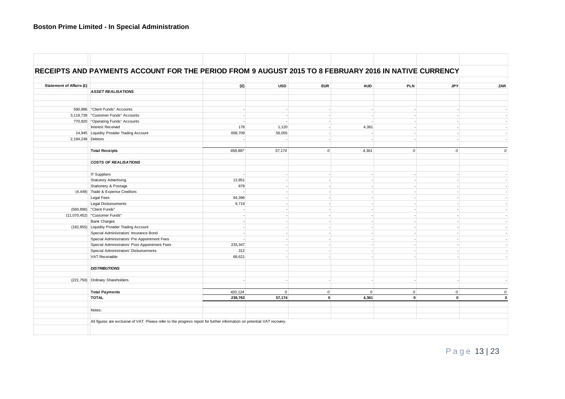# **Boston Prime Limited - In Special Administration**

|                                 | RECEIPTS AND PAYMENTS ACCOUNT FOR THE PERIOD FROM 9 AUGUST 2015 TO 8 FEBRUARY 2016 IN NATIVE CURRENCY |          |               |               |               |               |               |  |
|---------------------------------|-------------------------------------------------------------------------------------------------------|----------|---------------|---------------|---------------|---------------|---------------|--|
| <b>Statement of Affairs (£)</b> |                                                                                                       | (E)      | <b>USD</b>    | <b>EUR</b>    | <b>AUD</b>    | <b>PLN</b>    | <b>JPY</b>    |  |
|                                 | <b>ASSET REALISATIONS</b>                                                                             |          |               |               |               |               |               |  |
|                                 |                                                                                                       |          |               |               |               |               |               |  |
|                                 | 590,896   "Client Funds" Accounts                                                                     |          |               |               |               |               |               |  |
|                                 | 3,119,739   "Customer Funds" Accounts                                                                 |          |               |               |               |               |               |  |
|                                 | 770,820   "Operating Funds" Accounts                                                                  |          |               |               |               |               |               |  |
|                                 | Interest Received                                                                                     | 178      | 1,120         |               | 4,361         |               |               |  |
|                                 | 14,945 Liquidity Provider Trading Account                                                             | 658,709  | 56,055        |               |               |               |               |  |
| 2,194,248 Debtors               |                                                                                                       |          |               |               |               |               |               |  |
|                                 | <b>Total Receipts</b>                                                                                 | 658,887  | 57,174        | $\mathcal{O}$ | 4,361         | $\mathcal{O}$ | $\mathcal{O}$ |  |
|                                 | <b>COSTS OF REALISATIONS</b>                                                                          |          |               |               |               |               |               |  |
|                                 | <b>IT Suppliers</b>                                                                                   |          |               |               |               |               |               |  |
|                                 | Statutory Advertising                                                                                 | 12,851   |               |               |               |               |               |  |
|                                 | Stationery & Postage                                                                                  | 878      |               |               |               |               |               |  |
|                                 | (4,449) Trade & Expense Creditors                                                                     |          |               |               |               |               |               |  |
|                                 | Legal Fees                                                                                            | 94,396   |               |               |               |               |               |  |
|                                 | Legal Disbursements                                                                                   | 9,719    |               |               |               |               |               |  |
|                                 | (560,896)   "Client Funds"                                                                            |          |               |               |               |               |               |  |
|                                 | (11,070,452) "Customer Funds"                                                                         |          |               |               |               |               |               |  |
|                                 | <b>Bank Charges</b>                                                                                   |          |               |               |               |               |               |  |
|                                 | (182,855) Liquidity Provider Trading Account                                                          |          |               |               |               |               |               |  |
|                                 | Special Administrators' Insurance Bond                                                                |          |               |               |               |               |               |  |
|                                 | Special Administrators' Pre Appointment Fees                                                          |          |               |               |               |               |               |  |
|                                 | Special Administrators' Post Appointment Fees                                                         | 233,347  |               |               |               |               |               |  |
|                                 | Special Administrators' Disbursements                                                                 | 312      |               |               |               |               |               |  |
|                                 | VAT Receivable                                                                                        | 68,621   |               |               |               |               |               |  |
|                                 | <b>DISTRIBUTIONS</b>                                                                                  |          |               |               |               |               |               |  |
|                                 |                                                                                                       |          |               |               |               |               |               |  |
|                                 | (221,750) Ordinary Shareholders                                                                       |          |               |               |               |               |               |  |
|                                 | <b>Total Payments</b>                                                                                 | 420, 124 | $\mathcal{O}$ | $\mathcal{O}$ | $\mathcal{O}$ | $\mathcal{O}$ | $\mathcal O$  |  |
|                                 | <b>TOTAL</b>                                                                                          | 238,763  | 57,174        | $\mathbf{0}$  | 4,361         | $\mathbf{0}$  | $\mathbf{0}$  |  |
|                                 | Notes:                                                                                                |          |               |               |               |               |               |  |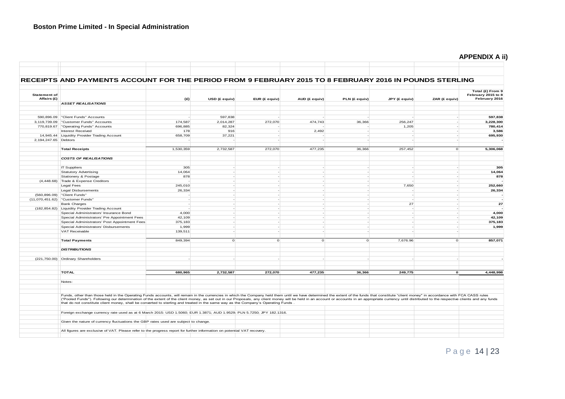# **APPENDIX A ii)**

п.

|                                    | RECEIPTS AND PAYMENTS ACCOUNT FOR THE PERIOD FROM 9 FEBRUARY 2015 TO 8 FEBRUARY 2016 IN POUNDS STERLING                                                                                                                                                                                                                                                                                                                                                                                                                                                                                             |           |               |               |               |               |               |               |                                                         |
|------------------------------------|-----------------------------------------------------------------------------------------------------------------------------------------------------------------------------------------------------------------------------------------------------------------------------------------------------------------------------------------------------------------------------------------------------------------------------------------------------------------------------------------------------------------------------------------------------------------------------------------------------|-----------|---------------|---------------|---------------|---------------|---------------|---------------|---------------------------------------------------------|
| <b>Statement of</b><br>Affairs (£) |                                                                                                                                                                                                                                                                                                                                                                                                                                                                                                                                                                                                     |           |               |               |               |               |               |               | Total (£) From 9<br>February 2015 to 8<br>February 2016 |
|                                    | <b>ASSET REALISATIONS</b>                                                                                                                                                                                                                                                                                                                                                                                                                                                                                                                                                                           | (E)       | USD (£ equiv) | EUR (£ equiv) | AUD (£ equiv) | PLN (£ equiv) | JPY (£ equiv) | ZAR (£ equiv) |                                                         |
|                                    |                                                                                                                                                                                                                                                                                                                                                                                                                                                                                                                                                                                                     |           |               |               |               |               |               |               |                                                         |
|                                    | 590,896.09 "Client Funds" Accounts                                                                                                                                                                                                                                                                                                                                                                                                                                                                                                                                                                  |           | 597,838       |               |               |               |               |               | 597,838                                                 |
|                                    | 3,119,739.09   "Customer Funds" Accounts                                                                                                                                                                                                                                                                                                                                                                                                                                                                                                                                                            | 174,587   | 2,014,287     | 272,070       | 474,743       | 36,366        | 256.247       |               | 3,228,300                                               |
|                                    | 770,819.67   "Operating Funds" Accounts                                                                                                                                                                                                                                                                                                                                                                                                                                                                                                                                                             | 696,885   | 82,324        |               |               |               | 1,205         |               | 780,414                                                 |
|                                    | Interest Received                                                                                                                                                                                                                                                                                                                                                                                                                                                                                                                                                                                   | 178       | 916           |               | 2,492         |               |               |               | 3,586                                                   |
|                                    | 14,945.44 Liquidity Provider Trading Account                                                                                                                                                                                                                                                                                                                                                                                                                                                                                                                                                        | 658,709   | 37,221        |               |               |               |               |               | 695,930                                                 |
| 2,194,247.65 Debtors               |                                                                                                                                                                                                                                                                                                                                                                                                                                                                                                                                                                                                     |           |               |               |               |               |               |               |                                                         |
|                                    | <b>Total Receipts</b>                                                                                                                                                                                                                                                                                                                                                                                                                                                                                                                                                                               | 1,530,359 | 2,732,587     | 272,070       | 477,235       | 36,366        | 257,452       | $\circ$       | 5,306,068                                               |
|                                    | <b>COSTS OF REALISATIONS</b>                                                                                                                                                                                                                                                                                                                                                                                                                                                                                                                                                                        |           |               |               |               |               |               |               |                                                         |
|                                    |                                                                                                                                                                                                                                                                                                                                                                                                                                                                                                                                                                                                     |           |               |               |               |               |               |               |                                                         |
|                                    | <b>IT Suppliers</b>                                                                                                                                                                                                                                                                                                                                                                                                                                                                                                                                                                                 | 305       |               |               |               |               |               |               | 305                                                     |
|                                    | <b>Statutory Advertising</b>                                                                                                                                                                                                                                                                                                                                                                                                                                                                                                                                                                        | 14,064    |               |               |               |               |               |               | 14,064                                                  |
|                                    | Stationery & Postage                                                                                                                                                                                                                                                                                                                                                                                                                                                                                                                                                                                | 878       |               |               |               |               |               |               | 878                                                     |
| (4, 448.68)                        | Trade & Expense Creditors                                                                                                                                                                                                                                                                                                                                                                                                                                                                                                                                                                           |           |               |               |               |               |               |               |                                                         |
|                                    | <b>Legal Fees</b>                                                                                                                                                                                                                                                                                                                                                                                                                                                                                                                                                                                   | 245,010   |               |               |               |               | 7.650         |               | 252.660                                                 |
|                                    | Legal Disbursements                                                                                                                                                                                                                                                                                                                                                                                                                                                                                                                                                                                 | 26,334    |               |               |               |               |               |               | 26,334                                                  |
| (560, 896.09)                      | "Client Funds"                                                                                                                                                                                                                                                                                                                                                                                                                                                                                                                                                                                      |           |               |               |               |               |               |               |                                                         |
| (11,070,451.62)                    | "Customer Funds"                                                                                                                                                                                                                                                                                                                                                                                                                                                                                                                                                                                    |           |               |               |               |               |               |               |                                                         |
|                                    | <b>Bank Charges</b>                                                                                                                                                                                                                                                                                                                                                                                                                                                                                                                                                                                 |           |               |               |               |               | 27            |               | 27                                                      |
| (182, 854.82)                      | <b>Liquidity Provider Trading Account</b>                                                                                                                                                                                                                                                                                                                                                                                                                                                                                                                                                           |           |               |               |               |               |               |               |                                                         |
|                                    | Special Administrators' Insurance Bond                                                                                                                                                                                                                                                                                                                                                                                                                                                                                                                                                              | 4,000     |               |               |               |               |               |               | 4,000                                                   |
|                                    | Special Administrators' Pre Appointment Fees                                                                                                                                                                                                                                                                                                                                                                                                                                                                                                                                                        | 42,109    |               |               |               |               |               |               | 42,109                                                  |
|                                    | Special Administrators' Post Appointment Fees                                                                                                                                                                                                                                                                                                                                                                                                                                                                                                                                                       | 375,183   |               |               |               |               |               |               | 375,183                                                 |
|                                    | Special Administrators' Disbursements                                                                                                                                                                                                                                                                                                                                                                                                                                                                                                                                                               | 1,999     |               |               |               |               |               |               | 1,999                                                   |
|                                    | VAT Receivable                                                                                                                                                                                                                                                                                                                                                                                                                                                                                                                                                                                      | 139,511   |               |               |               |               |               |               |                                                         |
|                                    |                                                                                                                                                                                                                                                                                                                                                                                                                                                                                                                                                                                                     |           |               |               |               |               |               |               |                                                         |
|                                    | <b>Total Payments</b>                                                                                                                                                                                                                                                                                                                                                                                                                                                                                                                                                                               | 849,394   | $\circ$       | $\circ$       | $\circ$       | $\circ$       | 7,676.96      | $\circ$       | 857,071                                                 |
|                                    | <b>DISTRIBUTIONS</b>                                                                                                                                                                                                                                                                                                                                                                                                                                                                                                                                                                                |           |               |               |               |               |               |               |                                                         |
| (221, 750.00)                      | Ordinary Shareholders                                                                                                                                                                                                                                                                                                                                                                                                                                                                                                                                                                               |           |               |               |               |               |               |               |                                                         |
|                                    | <b>TOTAL</b>                                                                                                                                                                                                                                                                                                                                                                                                                                                                                                                                                                                        | 680,965   | 2,732,587     | 272,070       | 477,235       | 36,366        | 249,775       | $\mathbf{o}$  | 4,448,998                                               |
|                                    |                                                                                                                                                                                                                                                                                                                                                                                                                                                                                                                                                                                                     |           |               |               |               |               |               |               |                                                         |
|                                    | Notes:                                                                                                                                                                                                                                                                                                                                                                                                                                                                                                                                                                                              |           |               |               |               |               |               |               |                                                         |
|                                    | Funds, other than those held in the Operating Funds accounts, will remain in the currencies in which the Company held them until we have determined the extent of the funds that constitute "client money" in accordance with<br>("Pooled Funds"). Following our determination of the extent of the client money, as set out in our Proposals, any client money will be held in an account or accounts in an appropriate currency until distributed to the resp<br>that do not constitute client money, shall be converted to sterling and treated in the same way as the Company's Operating Funds |           |               |               |               |               |               |               |                                                         |
|                                    | Foreign exchange currency rate used as at 6 March 2015: USD 1.5060; EUR 1.3871; AUD 1.9529; PLN 5.7250; JPY 182.1316.                                                                                                                                                                                                                                                                                                                                                                                                                                                                               |           |               |               |               |               |               |               |                                                         |
|                                    | Given the nature of currency fluctuations the GBP rates used are subject to change.                                                                                                                                                                                                                                                                                                                                                                                                                                                                                                                 |           |               |               |               |               |               |               |                                                         |
|                                    |                                                                                                                                                                                                                                                                                                                                                                                                                                                                                                                                                                                                     |           |               |               |               |               |               |               |                                                         |
|                                    | All figures are exclusive of VAT. Please refer to the progress report for further information on potential VAT recovery.                                                                                                                                                                                                                                                                                                                                                                                                                                                                            |           |               |               |               |               |               |               |                                                         |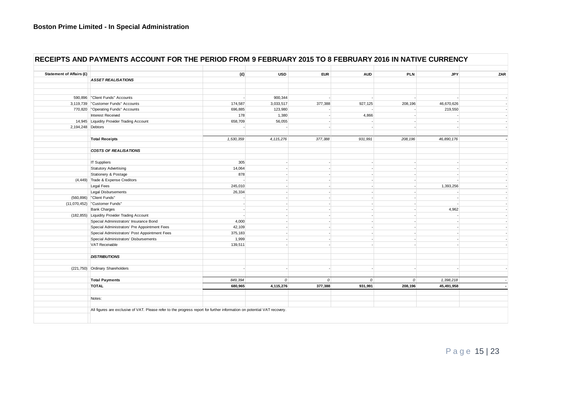| <b>Statement of Affairs (£)</b> |                                                                                                                          | (E)       | <b>USD</b>  | <b>EUR</b>    | <b>AUD</b>     | <b>PLN</b>     | <b>JPY</b> |  |
|---------------------------------|--------------------------------------------------------------------------------------------------------------------------|-----------|-------------|---------------|----------------|----------------|------------|--|
|                                 | <b>ASSET REALISATIONS</b>                                                                                                |           |             |               |                |                |            |  |
|                                 |                                                                                                                          |           |             |               |                |                |            |  |
|                                 | 590,896   "Client Funds" Accounts                                                                                        |           | 900,344     |               |                |                |            |  |
|                                 | 3,119,739   "Customer Funds" Accounts                                                                                    | 174,587   | 3,033,517   | 377,388       | 927,125        | 208,196        | 46,670,626 |  |
|                                 | 770,820 "Operating Funds" Accounts                                                                                       | 696,885   | 123,980     |               |                |                | 219,550    |  |
|                                 | Interest Received                                                                                                        | 178       | 1,380       |               | 4,866          |                |            |  |
|                                 | 14,945 Liquidity Provider Trading Account                                                                                | 658,709   | 56,055      |               |                |                |            |  |
| 2,194,248 Debtors               |                                                                                                                          |           |             |               |                |                |            |  |
|                                 | <b>Total Receipts</b>                                                                                                    | 1,530,359 | 4, 115, 276 | 377,388       | 931,991        | 208,196        | 46,890,176 |  |
|                                 | <b>COSTS OF REALISATIONS</b>                                                                                             |           |             |               |                |                |            |  |
|                                 |                                                                                                                          |           |             |               |                |                |            |  |
|                                 | <b>IT Suppliers</b>                                                                                                      | 305       |             |               |                |                |            |  |
|                                 | <b>Statutory Advertising</b>                                                                                             | 14,064    |             |               |                |                |            |  |
|                                 | Stationery & Postage                                                                                                     | 878       |             |               |                |                |            |  |
|                                 | (4,449) Trade & Expense Creditors                                                                                        |           |             |               |                |                |            |  |
|                                 | Legal Fees                                                                                                               | 245,010   |             |               |                |                | 1,393,256  |  |
|                                 | Legal Disbursements                                                                                                      | 26,334    |             |               |                |                |            |  |
|                                 | (560,896)   "Client Funds"                                                                                               |           |             |               |                |                |            |  |
|                                 | (11,070,452)   "Customer Funds"                                                                                          |           |             |               |                |                |            |  |
|                                 | <b>Bank Charges</b>                                                                                                      |           |             |               |                |                | 4,962      |  |
|                                 | (182,855) Liquidity Provider Trading Account                                                                             |           |             |               |                |                |            |  |
|                                 | Special Administrators' Insurance Bond                                                                                   | 4,000     |             |               |                |                |            |  |
|                                 | Special Administrators' Pre Appointment Fees                                                                             | 42,109    |             |               |                |                |            |  |
|                                 | Special Administrators' Post Appointment Fees                                                                            | 375,183   |             |               |                |                |            |  |
|                                 | Special Administrators' Disbursements                                                                                    | 1,999     |             |               |                |                |            |  |
|                                 | VAT Receivable                                                                                                           | 139,511   |             |               |                |                |            |  |
|                                 | <b>DISTRIBUTIONS</b>                                                                                                     |           |             |               |                |                |            |  |
|                                 |                                                                                                                          |           |             |               |                |                |            |  |
|                                 | (221,750) Ordinary Shareholders                                                                                          |           |             |               |                |                |            |  |
|                                 | <b>Total Payments</b>                                                                                                    | 849,394   | $\Omega$    | $\mathcal{O}$ | $\overline{0}$ | $\overline{O}$ | 1,398,218  |  |
|                                 | <b>TOTAL</b>                                                                                                             | 680,965   | 4,115,276   | 377,388       | 931,991        | 208,196        | 45,491,958 |  |
|                                 | Notes:                                                                                                                   |           |             |               |                |                |            |  |
|                                 | All figures are exclusive of VAT. Please refer to the progress report for further information on potential VAT recovery. |           |             |               |                |                |            |  |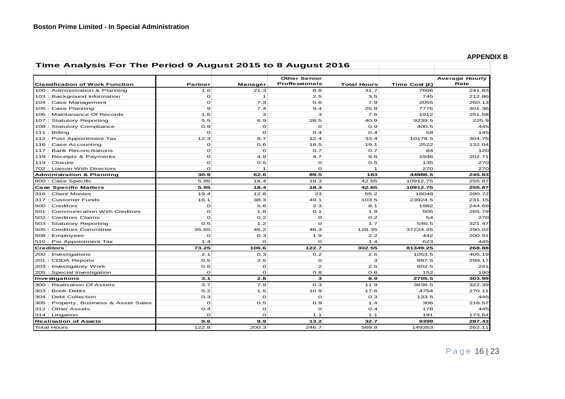| Time Analysis For The Period 9 August 2015 to 8 August 2016 |                |              |                                              |                    |               |                               |
|-------------------------------------------------------------|----------------|--------------|----------------------------------------------|--------------------|---------------|-------------------------------|
| <b>Classification of Work Function</b>                      | <b>Partner</b> | Manager      | <b>Other Senior</b><br><b>Proffessionals</b> | <b>Total Hours</b> | Time Cost (£) | <b>Average Hourly</b><br>Rate |
| 100 : Administration & Planning                             | 1.6            | 21.3         | 8.8                                          | 31.7               | 7666          | 241.83                        |
| 103 : Background Information                                | $\mathbf{o}$   | $\mathbf{1}$ | 2.5                                          | 3.5                | 745           | 212.86                        |
| 104 : Case Management                                       | $\mathbf{o}$   | 7.3          | 0.6                                          | 7.9                | 2055          | 260.13                        |
| 105 : Case Planning                                         | 9              | 7.4          | 9.4                                          | 25.8               | 7775          | 301.36                        |
| 106 : Maintanance Of Records                                | 1.6            | з            | з                                            | 7.6                | 1912          | 251.58                        |
| 107 : Statutory Reporting                                   | 5.5            | 6.9          | 28.5                                         | 40.9               | 9239.5        | 225.9                         |
| 108 : Statutory Compliance                                  | 0.9            | $\Omega$     | $\Omega$                                     | O.9                | 400.5         | 445                           |
| $111:$ Billing                                              | $\circ$        | $\Omega$     | O.4                                          | 0.4                | 58            | 145                           |
| 112 : Post Appointment Tax                                  | 12.3           | 8.7          | 12.4                                         | 33.4               | 10178.5       | 304.75                        |
| 116 : Case Accounting                                       | $\mathbf{o}$   | 0.6          | 18.5                                         | 19.1               | 2522          | 132.04                        |
| 117 : Bank Reconciliations                                  | $\mathbf{o}$   | $\Omega$     | 0.7                                          | 0.7                | 84            | 120                           |
| 118 : Receipts & Payments                                   | $\mathbf{o}$   | 4.9          | 4.7                                          | 9.6                | 1946          | 202.71                        |
| 119 : Closure                                               | $\Omega$       | 0.5          | $\circ$                                      | 0.5                | 135           | 270                           |
| 702 : Liaison With Directors                                | $\mathbf{o}$   | $\mathbf{1}$ | $\circ$                                      | $\mathbf{1}$       | 270           | 270                           |
| <b>Administration &amp; Planning</b>                        | 30.9           | 62.6         | 89.5                                         | 183                | 44986.5       | 245.83                        |
| 600 : Case Specific                                         | 5.95           | 18.4         | 18.3                                         | 42.65              | 10912.75      | 255.87                        |
| <b>Case Specific Matters</b>                                | 5.95           | 18.4         | 18.3                                         | 42.65              | 10912.75      | 255.87                        |
| 316 : Client Monies                                         | 19.4           | 12.8         | 23                                           | 55.2               | 16048         | 290.72                        |
| 317 : Customer Funds                                        | 16.1           | 38.3         | 49.1                                         | 103.5              | 23924.5       | 231.15                        |
| 500 : Creditors                                             | O              | 5.8          | 2.3                                          | 8.1                | 1982          | 244.69                        |
| 501 : Communication With Creditors                          | $\mathbf{o}$   | 1.8          | O.1                                          | 1.9                | 505           | 265.79                        |
| 502 : Creditors Claims                                      | $\Omega$       | 0.2          | $\Omega$                                     | 0.2                | 54            | 270                           |
| 503: Statutory Reporting                                    | 0.5            | 1.2          | $\Omega$                                     | 1.7                | 546.5         | 321.47                        |
| 505 : Creditors Committee                                   | 35.85          | 46.2         | 46.3                                         | 128.35             | 37224.25      | 290.02                        |
| 508 : Employees                                             | $\Omega$       | 0.3          | 1.9                                          | 2.2                | 442           | 200.91                        |
| 510 : Pre Appointment Tax                                   | 1.4            | $\circ$      | $\Omega$                                     | 1.4                | 623           | 445                           |
| <b>Creditors</b>                                            | 73.25          | 106.6        | 122.7                                        | 302.55             | 81349.25      | 268.88                        |
| 200 : Investigations                                        | 2.1            | 0.3          | 0.2                                          | 2.6                | 1053.5        | 405.19                        |
| 201 : CDDA Reports                                          | 0.5            | 2.5          | $\mathbf O$                                  | 3                  | 897.5         | 299.17                        |
| 203 : Investigatory Work                                    | 0.5            | $\circ$      | $\mathbf{z}$                                 | 2.5                | 602.5         | 241                           |
| 205 : Special Investigation                                 | $\mathbf{o}$   | $\Omega$     | 0.8                                          | 0.8                | 152           | 190                           |
| Investigations                                              | 3.1            | 2.8          | з                                            | 8.9                | 2705.5        | 303.99                        |
| 300 : Realisation Of Assets                                 | 3.7            | 7.9          | 0.3                                          | 11.9               | 3836.5        | 322.39                        |
| 303 : Book Debts                                            | 5.2            | 1.5          | 10.9                                         | 17.6               | 4754          | 270.11                        |
| 304 : Debt Collection                                       | 0.3            | $\circ$      | $\Omega$                                     | 0.3                | 133.5         | 445                           |
| 305 : Property, Business & Asset Sales                      | $\circ$        | 0.5          | 0.9                                          | 1.4                | 306           | 218.57                        |
| 312: Other Assets                                           | 0.4            | $\circ$      | $\Omega$                                     | O.4                | 178           | 445                           |
| 314 : Litigation                                            | $\Omega$       | $\circ$      | 1.1                                          | 1.1                | 191           | 173.64                        |
| <b>Realisation of Assets</b>                                | 9.6            | 9.9          | 13.2                                         | 32.7               | 9399          | 287.43                        |
| <b>Total Hours</b>                                          | 122.8          | 200.3        | 246.7                                        | 569.8              | 149353        | 262.11                        |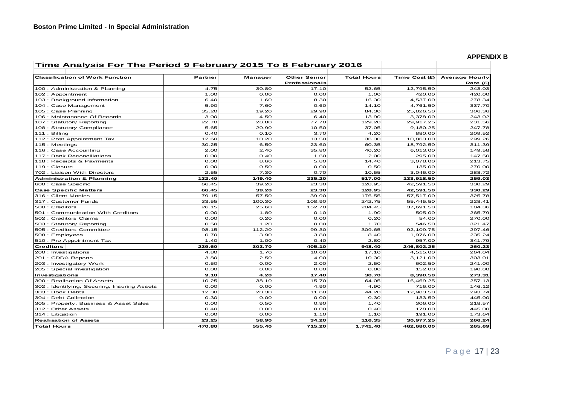| APPENDIX B |  |
|------------|--|
|------------|--|

| Time Analysis For The Period 9 February 2015 To 8 February 2016 |         |         |                      |                    |               |                       |
|-----------------------------------------------------------------|---------|---------|----------------------|--------------------|---------------|-----------------------|
| <b>Classification of Work Function</b>                          | Partner | Manager | <b>Other Senior</b>  | <b>Total Hours</b> | Time Cost (£) | <b>Average Hourly</b> |
|                                                                 |         |         | <b>Professionals</b> |                    |               | Rate (£)              |
| 100 : Administration & Planning                                 | 4.75    | 30.80   | 17.10                | 52.65              | 12,795.50     | 243.03                |
| 102 : Appointment                                               | 1.00    | 0.00    | 0.00                 | 1.00               | 420.00        | 420.00                |
| 103 : Background Information                                    | 6.40    | 1.60    | 8.30                 | 16.30              | 4,537.00      | 278.34                |
| 104 : Case Management                                           | 5.90    | 7.60    | 0.60                 | 14.10              | 4,761.50      | 337.70                |
| 105 : Case Planning                                             | 35.20   | 19.20   | 29.90                | 84.30              | 25,826.50     | 306.36                |
| 106 : Maintanance Of Records                                    | 3.00    | 4.50    | 6.40                 | 13.90              | 3,378.00      | 243.02                |
| 107 : Statutory Reporting                                       | 22.70   | 28.80   | 77.70                | 129.20             | 29,917.25     | 231.56                |
| 108 : Statutory Compliance                                      | 5.65    | 20.90   | 10.50                | 37.05              | 9,180.25      | 247.78                |
| $111:$ Billing                                                  | 0.40    | 0.10    | 3.70                 | 4.20               | 880.00        | 209.52                |
| 112 : Post Appointment Tax                                      | 12.60   | 10.20   | 13.50                | 36.30              | 10,863.00     | 299.26                |
| 115 : Meetings                                                  | 30.25   | 6.50    | 23.60                | 60.35              | 18,792.50     | 311.39                |
| 116 : Case Accounting                                           | 2.00    | 2.40    | 35.80                | 40.20              | 6,013.00      | 149.58                |
| 117 : Bank Reconciliations                                      | 0.00    | 0.40    | 1.60                 | 2.00               | 295.00        | 147.50                |
| 118 : Receipts & Payments                                       | 0.00    | 8.60    | 5.80                 | 14.40              | 3,078.00      | 213.75                |
| 119 : Closure                                                   | 0.00    | 0.50    | 0.00                 | 0.50               | 135.00        | 270.00                |
| 702 : Liaison With Directors                                    | 2.55    | 7.30    | 0.70                 | 10.55              | 3,046.00      | 288.72                |
| <b>Administration &amp; Planning</b>                            | 132.40  | 149.40  | 235.20               | 517.00             | 133,918.50    | 259.03                |
| 600 : Case Specific                                             | 66.45   | 39.20   | 23.30                | 128.95             | 42,591.50     | 330.29                |
| <b>Case Specific Matters</b>                                    | 66.45   | 39.20   | 23.30                | 128.95             | 42,591.50     | 330.29                |
| 316 : Client Monies                                             | 79.15   | 57.50   | 39.90                | 176.55             | 57,517.00     | 325.78                |
| 317 : Customer Funds                                            | 33.55   | 100.30  | 108.90               | 242.75             | 55,445.50     | 228.41                |
| 500 : Creditors                                                 | 26.15   | 25.60   | 152.70               | 204.45             | 37,691.50     | 184.36                |
| 501: Communication With Creditors                               | 0.00    | 1.80    | 0.10                 | 1.90               | 505.00        | 265.79                |
| 502 : Creditors Claims                                          | 0.00    | 0.20    | 0.00                 | 0.20               | 54.00         | 270.00                |
| 503: Statutory Reporting                                        | 0.50    | 1.20    | 0.00                 | 1.70               | 546.50        | 321.47                |
| 505 : Creditors Committee                                       | 98.15   | 112.20  | 99.30                | 309.65             | 92,109.75     | 297.46                |
| 508 : Employees                                                 | 0.70    | 3.90    | 3.80                 | 8.40               | 1,976.00      | 235.24                |
| 510 : Pre Appointment Tax                                       | 1.40    | 1.00    | 0.40                 | 2.80               | 957.00        | 341.79                |
| <b>Creditors</b>                                                | 239.60  | 303.70  | 405.10               | 948.40             | 246,802.25    | 260.23                |
| 200 : Investigations                                            | 4.80    | 1.70    | 10.60                | 17.10              | 4,515.00      | 264.04                |
| 201 : CDDA Reports                                              | 3.80    | 2.50    | 4.00                 | 10.30              | 3,121.00      | 303.01                |
| 203 : Investigatory Work                                        | 0.50    | 0.00    | 2.00                 | 2.50               | 602.50        | 241.00                |
| 205 : Special Investigation                                     | 0.00    | 0.00    | 0.80                 | 0.80               | 152.00        | 190.00                |
| Investigations                                                  | 9.10    | 4.20    | 17.40                | 30.70              | 8,390.50      | 273.31                |
| 300 : Realisation Of Assets                                     | 10.25   | 38.10   | 15.70                | 64.05              | 16,469.25     | 257.13                |
| 302: Identifying, Securing, Insuring Assets                     | 0.00    | 0.00    | 4.90                 | 4.90               | 716.00        | 146.12                |
| 303: Book Debts                                                 | 12.30   | 20.30   | 11.60                | 44.20              | 12,983.50     | 293.74                |
| 304 : Debt Collection                                           | 0.30    | 0.00    | 0.00                 | 0.30               | 133.50        | 445.00                |
| 305 : Property, Business & Asset Sales                          | 0.00    | 0.50    | 0.90                 | 1.40               | 306.00        | 218.57                |
| 312 : Other Assets                                              | 0.40    | 0.00    | 0.00                 | 0.40               | 178.00        | 445.00                |
| 314 : Litigation                                                | 0.00    | 0.00    | 1.10                 | 1.10               | 191.00        | 173.64                |
| <b>Realisation of Assets</b>                                    | 23.25   | 58.90   | 34.20                | 116.35             | 30,977.25     | 266.24                |
| <b>Total Hours</b>                                              | 470.80  | 555.40  | 715.20               | 1,741.40           | 462.680.00    | 265.69                |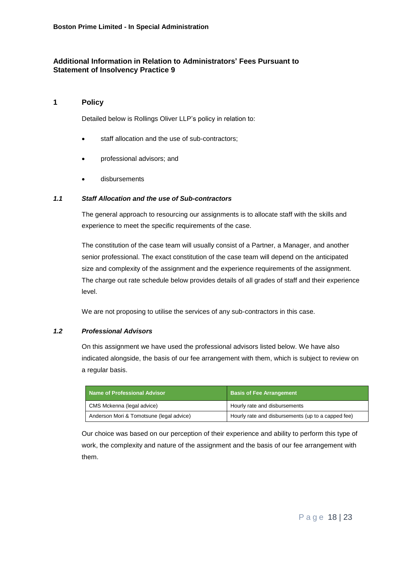# **Additional Information in Relation to Administrators' Fees Pursuant to Statement of Insolvency Practice 9**

# **1 Policy**

Detailed below is Rollings Oliver LLP's policy in relation to:

- staff allocation and the use of sub-contractors;
- professional advisors; and
- disbursements

# *1.1 Staff Allocation and the use of Sub-contractors*

The general approach to resourcing our assignments is to allocate staff with the skills and experience to meet the specific requirements of the case.

The constitution of the case team will usually consist of a Partner, a Manager, and another senior professional. The exact constitution of the case team will depend on the anticipated size and complexity of the assignment and the experience requirements of the assignment. The charge out rate schedule below provides details of all grades of staff and their experience level.

We are not proposing to utilise the services of any sub-contractors in this case.

#### *1.2 Professional Advisors*

On this assignment we have used the professional advisors listed below. We have also indicated alongside, the basis of our fee arrangement with them, which is subject to review on a regular basis.

| Name of Professional Advisor             | <b>Basis of Fee Arrangement</b>                    |
|------------------------------------------|----------------------------------------------------|
| CMS Mckenna (legal advice)               | Hourly rate and disbursements                      |
| Anderson Mori & Tomotsune (legal advice) | Hourly rate and disbursements (up to a capped fee) |

Our choice was based on our perception of their experience and ability to perform this type of work, the complexity and nature of the assignment and the basis of our fee arrangement with them.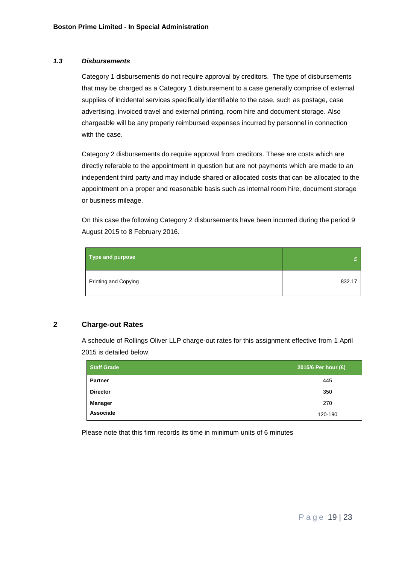## *1.3 Disbursements*

Category 1 disbursements do not require approval by creditors. The type of disbursements that may be charged as a Category 1 disbursement to a case generally comprise of external supplies of incidental services specifically identifiable to the case, such as postage, case advertising, invoiced travel and external printing, room hire and document storage. Also chargeable will be any properly reimbursed expenses incurred by personnel in connection with the case.

Category 2 disbursements do require approval from creditors. These are costs which are directly referable to the appointment in question but are not payments which are made to an independent third party and may include shared or allocated costs that can be allocated to the appointment on a proper and reasonable basis such as internal room hire, document storage or business mileage.

On this case the following Category 2 disbursements have been incurred during the period 9 August 2015 to 8 February 2016.

| Type and purpose     |        |
|----------------------|--------|
| Printing and Copying | 832.17 |

# **2 Charge-out Rates**

A schedule of Rollings Oliver LLP charge-out rates for this assignment effective from 1 April 2015 is detailed below.

| <b>Staff Grade</b> | 2015/6 Per hour (£) |
|--------------------|---------------------|
| <b>Partner</b>     | 445                 |
| <b>Director</b>    | 350                 |
| Manager            | 270                 |
| Associate          | 120-190             |

Please note that this firm records its time in minimum units of 6 minutes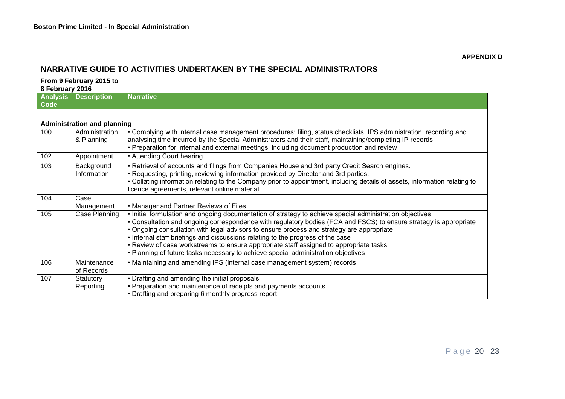# **NARRATIVE GUIDE TO ACTIVITIES UNDERTAKEN BY THE SPECIAL ADMINISTRATORS**

#### **From 9 February 2015 to**

**8 February 2016**

| Analysis<br>Code | <b>Description</b>                 | <b>Narrative</b>                                                                                                                                                                                                                                                                                                                                                                                                                                                                                                                                                                             |  |  |
|------------------|------------------------------------|----------------------------------------------------------------------------------------------------------------------------------------------------------------------------------------------------------------------------------------------------------------------------------------------------------------------------------------------------------------------------------------------------------------------------------------------------------------------------------------------------------------------------------------------------------------------------------------------|--|--|
|                  |                                    |                                                                                                                                                                                                                                                                                                                                                                                                                                                                                                                                                                                              |  |  |
|                  | <b>Administration and planning</b> |                                                                                                                                                                                                                                                                                                                                                                                                                                                                                                                                                                                              |  |  |
| 100              | Administration<br>& Planning       | • Complying with internal case management procedures; filing, status checklists, IPS administration, recording and<br>analysing time incurred by the Special Administrators and their staff, maintaining/completing IP records<br>• Preparation for internal and external meetings, including document production and review                                                                                                                                                                                                                                                                 |  |  |
| 102              | Appointment                        | • Attending Court hearing                                                                                                                                                                                                                                                                                                                                                                                                                                                                                                                                                                    |  |  |
| 103              | Background<br>Information          | • Retrieval of accounts and filings from Companies House and 3rd party Credit Search engines.<br>• Requesting, printing, reviewing information provided by Director and 3rd parties.<br>• Collating information relating to the Company prior to appointment, including details of assets, information relating to<br>licence agreements, relevant online material.                                                                                                                                                                                                                          |  |  |
| 104              | Case<br>Management                 | • Manager and Partner Reviews of Files                                                                                                                                                                                                                                                                                                                                                                                                                                                                                                                                                       |  |  |
| 105              | Case Planning                      | . Initial formulation and ongoing documentation of strategy to achieve special administration objectives<br>• Consultation and ongoing correspondence with regulatory bodies (FCA and FSCS) to ensure strategy is appropriate<br>• Ongoing consultation with legal advisors to ensure process and strategy are appropriate<br>. Internal staff briefings and discussions relating to the progress of the case<br>• Review of case workstreams to ensure appropriate staff assigned to appropriate tasks<br>. Planning of future tasks necessary to achieve special administration objectives |  |  |
| 106              | Maintenance<br>of Records          | • Maintaining and amending IPS (internal case management system) records                                                                                                                                                                                                                                                                                                                                                                                                                                                                                                                     |  |  |
| 107              | Statutory<br>Reporting             | • Drafting and amending the initial proposals<br>• Preparation and maintenance of receipts and payments accounts<br>• Drafting and preparing 6 monthly progress report                                                                                                                                                                                                                                                                                                                                                                                                                       |  |  |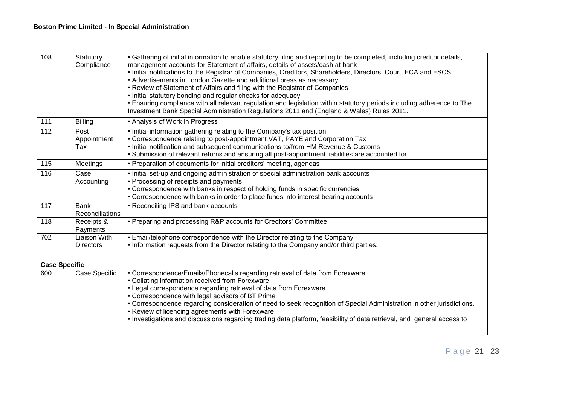| 108                  | Statutory<br>Compliance          | • Gathering of initial information to enable statutory filing and reporting to be completed, including creditor details,<br>management accounts for Statement of affairs, details of assets/cash at bank<br>. Initial notifications to the Registrar of Companies, Creditors, Shareholders, Directors, Court, FCA and FSCS<br>• Advertisements in London Gazette and additional press as necessary<br>• Review of Statement of Affairs and filing with the Registrar of Companies<br>• Initial statutory bonding and regular checks for adequacy<br>. Ensuring compliance with all relevant regulation and legislation within statutory periods including adherence to The<br>Investment Bank Special Administration Regulations 2011 and (England & Wales) Rules 2011. |
|----------------------|----------------------------------|-------------------------------------------------------------------------------------------------------------------------------------------------------------------------------------------------------------------------------------------------------------------------------------------------------------------------------------------------------------------------------------------------------------------------------------------------------------------------------------------------------------------------------------------------------------------------------------------------------------------------------------------------------------------------------------------------------------------------------------------------------------------------|
| 111                  | <b>Billing</b>                   | • Analysis of Work in Progress                                                                                                                                                                                                                                                                                                                                                                                                                                                                                                                                                                                                                                                                                                                                          |
| $\overline{112}$     | Post<br>Appointment<br>Tax       | . Initial information gathering relating to the Company's tax position<br>• Correspondence relating to post-appointment VAT, PAYE and Corporation Tax<br>. Initial notification and subsequent communications to/from HM Revenue & Customs<br>• Submission of relevant returns and ensuring all post-appointment liabilities are accounted for                                                                                                                                                                                                                                                                                                                                                                                                                          |
| 115                  | Meetings                         | • Preparation of documents for initial creditors' meeting, agendas                                                                                                                                                                                                                                                                                                                                                                                                                                                                                                                                                                                                                                                                                                      |
| 116                  | Case<br>Accounting               | . Initial set-up and ongoing administration of special administration bank accounts<br>• Processing of receipts and payments<br>• Correspondence with banks in respect of holding funds in specific currencies<br>• Correspondence with banks in order to place funds into interest bearing accounts                                                                                                                                                                                                                                                                                                                                                                                                                                                                    |
| 117                  | <b>Bank</b><br>Reconciliations   | • Reconciling IPS and bank accounts                                                                                                                                                                                                                                                                                                                                                                                                                                                                                                                                                                                                                                                                                                                                     |
| 118                  | Receipts &<br>Payments           | • Preparing and processing R&P accounts for Creditors' Committee                                                                                                                                                                                                                                                                                                                                                                                                                                                                                                                                                                                                                                                                                                        |
| 702                  | Liaison With<br><b>Directors</b> | • Email/telephone correspondence with the Director relating to the Company<br>• Information requests from the Director relating to the Company and/or third parties.                                                                                                                                                                                                                                                                                                                                                                                                                                                                                                                                                                                                    |
|                      |                                  |                                                                                                                                                                                                                                                                                                                                                                                                                                                                                                                                                                                                                                                                                                                                                                         |
| <b>Case Specific</b> |                                  |                                                                                                                                                                                                                                                                                                                                                                                                                                                                                                                                                                                                                                                                                                                                                                         |
| 600                  | Case Specific                    | • Correspondence/Emails/Phonecalls regarding retrieval of data from Forexware<br>• Collating information received from Forexware<br>• Legal correspondence regarding retrieval of data from Forexware<br>• Correspondence with legal advisors of BT Prime<br>• Correspondence regarding consideration of need to seek recognition of Special Administration in other jurisdictions.<br>• Review of licencing agreements with Forexware<br>. Investigations and discussions regarding trading data platform, feasibility of data retrieval, and general access to                                                                                                                                                                                                        |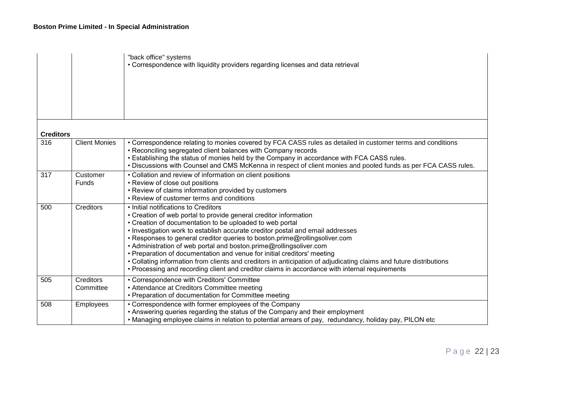|                  |                               | "back office" systems<br>• Correspondence with liquidity providers regarding licenses and data retrieval                                                                                                                                                                                                                                                                                                                                                                                                                                                                                                                                                                                                      |
|------------------|-------------------------------|---------------------------------------------------------------------------------------------------------------------------------------------------------------------------------------------------------------------------------------------------------------------------------------------------------------------------------------------------------------------------------------------------------------------------------------------------------------------------------------------------------------------------------------------------------------------------------------------------------------------------------------------------------------------------------------------------------------|
| <b>Creditors</b> |                               |                                                                                                                                                                                                                                                                                                                                                                                                                                                                                                                                                                                                                                                                                                               |
| 316              | <b>Client Monies</b>          | • Correspondence relating to monies covered by FCA CASS rules as detailed in customer terms and conditions<br>• Reconciling segregated client balances with Company records<br>. Establishing the status of monies held by the Company in accordance with FCA CASS rules.<br>. Discussions with Counsel and CMS McKenna in respect of client monies and pooled funds as per FCA CASS rules.                                                                                                                                                                                                                                                                                                                   |
| 317              | Customer<br>Funds             | • Collation and review of information on client positions<br>• Review of close out positions<br>• Review of claims information provided by customers<br>• Review of customer terms and conditions                                                                                                                                                                                                                                                                                                                                                                                                                                                                                                             |
| 500              | <b>Creditors</b>              | • Initial notifications to Creditors<br>• Creation of web portal to provide general creditor information<br>• Creation of documentation to be uploaded to web portal<br>. Investigation work to establish accurate creditor postal and email addresses<br>• Responses to general creditor queries to boston.prime@rollingsoliver.com<br>• Administration of web portal and boston.prime@rollingsoliver.com<br>• Preparation of documentation and venue for initial creditors' meeting<br>• Collating information from clients and creditors in anticipation of adjudicating claims and future distributions<br>• Processing and recording client and creditor claims in accordance with internal requirements |
| 505              | <b>Creditors</b><br>Committee | • Correspondence with Creditors' Committee<br>• Attendance at Creditors Committee meeting<br>• Preparation of documentation for Committee meeting                                                                                                                                                                                                                                                                                                                                                                                                                                                                                                                                                             |
| 508              | Employees                     | • Correspondence with former employees of the Company<br>• Answering queries regarding the status of the Company and their employment<br>• Managing employee claims in relation to potential arrears of pay, redundancy, holiday pay, PILON etc                                                                                                                                                                                                                                                                                                                                                                                                                                                               |